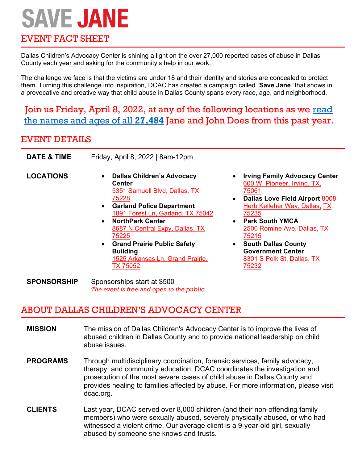# **SAVE JANE**

## EVENT FACT SHEET

Dallas Children's Advocacy Center is shining a light on the over 27,000 reported cases of abuse in Dallas County each year and asking for the community's help in our work.

The challenge we face is that the victims are under 18 and their identity and stories are concealed to protect them. Turning this challenge into inspiration, DCAC has created a campaign called *"***Save Jane***"* that shows in a provocative and creative way that child abuse in Dallas County spans every race, age, and neighborhood. 

Join us Friday, April 8, 2022, at any of the following locations as we read the names and ages of all **27,484** Jane and John Does from this past year.

## EVENT DETAILS

| <b>DATE &amp; TIME</b> | Friday, April 8, 2022   8am-12pm                                                                                                                                                                                                                                                                                                                                                                          |  |  |  |  |
|------------------------|-----------------------------------------------------------------------------------------------------------------------------------------------------------------------------------------------------------------------------------------------------------------------------------------------------------------------------------------------------------------------------------------------------------|--|--|--|--|
| <b>LOCATIONS</b>       | <b>Dallas Children's Advocacy</b><br>$\bullet$<br>Center<br>5351 Samuell Blvd, Dallas, TX<br>75228<br><b>Garland Police Department</b><br>$\bullet$<br>1891 Forest Ln, Garland, TX 75042<br><b>NorthPark Center</b><br>$\bullet$<br>8687 N Central Expy, Dallas, TX<br>75225<br><b>Grand Prairie Public Safety</b><br>$\bullet$<br><b>Building</b><br>1525 Arkansas Ln, Grand Prairie,<br><b>TX 75052</b> |  |  |  |  |
| SPONSORSHIP            | Sponsorships start at \$500                                                                                                                                                                                                                                                                                                                                                                               |  |  |  |  |

- **Irving Family Advocacy Center**  [600 W. Pioneer, Irving, TX,](https://www.google.com/maps/place/Irving+Police+Department/@32.7972973,-96.9244875,11z/data=!4m10!1m3!11m2!2sqXbUoOFtSgi_jL9l1cIw1g!3e3!3m5!1s0x864e836d100b75ff:0xdd41393253a0c84c!8m2!3d32.8165593!4d-96.9506751!15sCgEqkgERcG9saWNlX2RlcGFydG1lbnQ)  [75061](https://www.google.com/maps/place/Irving+Police+Department/@32.7972973,-96.9244875,11z/data=!4m10!1m3!11m2!2sqXbUoOFtSgi_jL9l1cIw1g!3e3!3m5!1s0x864e836d100b75ff:0xdd41393253a0c84c!8m2!3d32.8165593!4d-96.9506751!15sCgEqkgERcG9saWNlX2RlcGFydG1lbnQ)
- **Dallas Love Field Airport** 8008 [Herb Kelleher Way, Dallas,](https://www.google.com/maps/place/Dallas+Love+Field+Airport/@32.8481074,-96.853395,17z/data=!3m1!4b1!4m10!1m3!11m2!2sqXbUoOFtSgi_jL9l1cIw1g!3e3!3m5!1s0x864e9c34982312d1:0xea741a5750bb2386!8m2!3d32.8481029!4d-96.8512063!15sCgEqWgMiASqSARpjaXZpbGlhbl9wYXNzZW5nZXJfYWlycG9ydA) TX [75235](https://www.google.com/maps/place/Dallas+Love+Field+Airport/@32.8481074,-96.853395,17z/data=!3m1!4b1!4m10!1m3!11m2!2sqXbUoOFtSgi_jL9l1cIw1g!3e3!3m5!1s0x864e9c34982312d1:0xea741a5750bb2386!8m2!3d32.8481029!4d-96.8512063!15sCgEqWgMiASqSARpjaXZpbGlhbl9wYXNzZW5nZXJfYWlycG9ydA)
- **Park South YMCA** [2500 Romine Ave, Dallas, TX](https://www.google.com/maps/place/Park+South+Family+YMCA/@32.7972973,-96.9244875,11z/data=!4m10!1m3!11m2!2sqXbUoOFtSgi_jL9l1cIw1g!3e3!3m5!1s0x864e986238a4c1bf:0xb41193c5b7a7703d!8m2!3d32.7589485!4d-96.7634583!15sCgEqkgEXbm9uX3Byb2ZpdF9vcmdhbml6YXRpb24) [75215](https://www.google.com/maps/place/Park+South+Family+YMCA/@32.7972973,-96.9244875,11z/data=!4m10!1m3!11m2!2sqXbUoOFtSgi_jL9l1cIw1g!3e3!3m5!1s0x864e986238a4c1bf:0xb41193c5b7a7703d!8m2!3d32.7589485!4d-96.7634583!15sCgEqkgEXbm9uX3Byb2ZpdF9vcmdhbml6YXRpb24)
- **South Dallas County Government Center** [8301 S Polk St, Dallas, TX](https://www.google.com/maps/place/South+Dallas+county+government+center/@32.6460365,-96.8401382,11z/data=!4m10!1m3!11m2!2sqXbUoOFtSgi_jL9l1cIw1g!3e3!3m5!1s0x864e91e8aec4c791:0x28b791fd0c4055bf!8m2!3d32.6462025!4d-96.8407628!15sCgEqkgEQY29ycG9yYXRlX29mZmljZQ) [75232](https://www.google.com/maps/place/South+Dallas+county+government+center/@32.6460365,-96.8401382,11z/data=!4m10!1m3!11m2!2sqXbUoOFtSgi_jL9l1cIw1g!3e3!3m5!1s0x864e91e8aec4c791:0x28b791fd0c4055bf!8m2!3d32.6462025!4d-96.8407628!15sCgEqkgEQY29ycG9yYXRlX29mZmljZQ)

## ABOUT DALLAS CHILDREN'S ADVOCACY CENTER

*The event is free and open to the public.*

- **MISSION** The mission of Dallas Children's Advocacy Center is to improve the lives of abused children in Dallas County and to provide national leadership on child abuse issues.
- **PROGRAMS** Through multidisciplinary coordination, forensic services, family advocacy, therapy, and community education, DCAC coordinates the investigation and prosecution of the most severe cases of child abuse in Dallas County and provides healing to families affected by abuse. For more information, please visit dcac.org.
- **CLIENTS** Last year, DCAC served over 8,000 children (and their non-offending family members) who were sexually abused, severely physically abused, or who had witnessed a violent crime. Our average client is a 9-year-old girl, sexually abused by someone she knows and trusts.